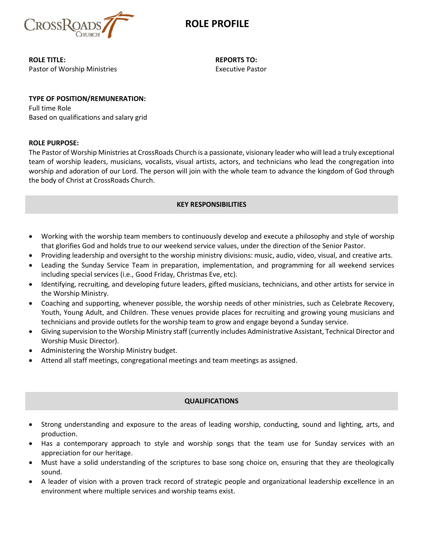

### **ROLE PROFILE**

**ROLE TITLE:** Pastor of Worship Ministries **REPORTS TO:** Executive Pastor

# **TYPE OF POSITION/REMUNERATION:**

Full time Role Based on qualifications and salary grid

#### **ROLE PURPOSE:**

The Pastor of Worship Ministries at CrossRoads Church is a passionate, visionary leader who will lead a truly exceptional team of worship leaders, musicians, vocalists, visual artists, actors, and technicians who lead the congregation into worship and adoration of our Lord. The person will join with the whole team to advance the kingdom of God through the body of Christ at CrossRoads Church.

#### **KEY RESPONSIBILITIES**

- Working with the worship team members to continuously develop and execute a philosophy and style of worship that glorifies God and holds true to our weekend service values, under the direction of the Senior Pastor.
- Providing leadership and oversight to the worship ministry divisions: music, audio, video, visual, and creative arts.
- Leading the Sunday Service Team in preparation, implementation, and programming for all weekend services including special services (i.e., Good Friday, Christmas Eve, etc).
- Identifying, recruiting, and developing future leaders, gifted musicians, technicians, and other artists for service in the Worship Ministry.
- Coaching and supporting, whenever possible, the worship needs of other ministries, such as Celebrate Recovery, Youth, Young Adult, and Children. These venues provide places for recruiting and growing young musicians and technicians and provide outlets for the worship team to grow and engage beyond a Sunday service.
- Giving supervision to the Worship Ministry staff (currently includes Administrative Assistant, Technical Director and Worship Music Director).
- Administering the Worship Ministry budget.
- Attend all staff meetings, congregational meetings and team meetings as assigned.

### **QUALIFICATIONS**

- Strong understanding and exposure to the areas of leading worship, conducting, sound and lighting, arts, and production.
- Has a contemporary approach to style and worship songs that the team use for Sunday services with an appreciation for our heritage.
- Must have a solid understanding of the scriptures to base song choice on, ensuring that they are theologically sound.
- A leader of vision with a proven track record of strategic people and organizational leadership excellence in an environment where multiple services and worship teams exist.